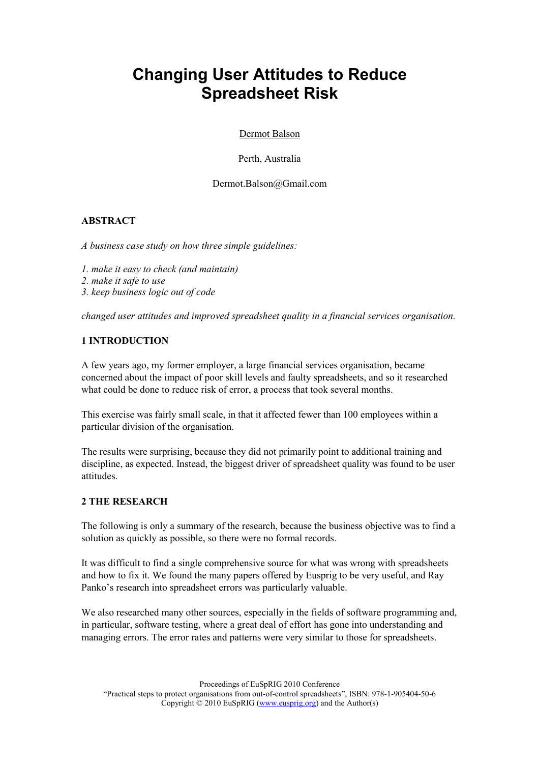# Changing User Attitudes to Reduce Spreadsheet Risk

Dermot Balson

Perth, Australia

Dermot.Balson@Gmail.com

# ABSTRACT

A business case study on how three simple guidelines:

- 1. make it easy to check (and maintain)
- 2. make it safe to use
- 3. keep business logic out of code

changed user attitudes and improved spreadsheet quality in a financial services organisation.

# 1 INTRODUCTION

A few years ago, my former employer, a large financial services organisation, became concerned about the impact of poor skill levels and faulty spreadsheets, and so it researched what could be done to reduce risk of error, a process that took several months.

This exercise was fairly small scale, in that it affected fewer than 100 employees within a particular division of the organisation.

The results were surprising, because they did not primarily point to additional training and discipline, as expected. Instead, the biggest driver of spreadsheet quality was found to be user attitudes.

# 2 THE RESEARCH

The following is only a summary of the research, because the business objective was to find a solution as quickly as possible, so there were no formal records.

It was difficult to find a single comprehensive source for what was wrong with spreadsheets and how to fix it. We found the many papers offered by Eusprig to be very useful, and Ray Panko's research into spreadsheet errors was particularly valuable.

We also researched many other sources, especially in the fields of software programming and, in particular, software testing, where a great deal of effort has gone into understanding and managing errors. The error rates and patterns were very similar to those for spreadsheets.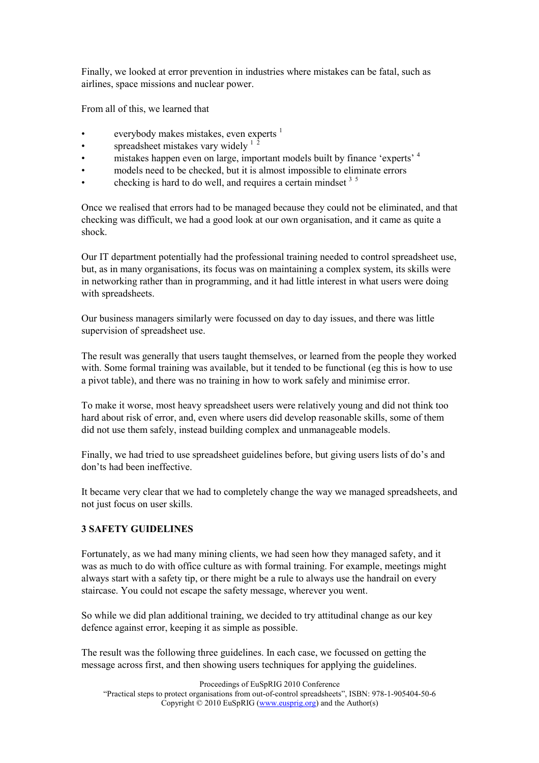Finally, we looked at error prevention in industries where mistakes can be fatal, such as airlines, space missions and nuclear power.

From all of this, we learned that

- everybody makes mistakes, even experts  $<sup>1</sup>$ </sup>
- spreadsheet mistakes vary widely  $1<sup>2</sup>$
- mistakes happen even on large, important models built by finance 'experts' <sup>4</sup>
- models need to be checked, but it is almost impossible to eliminate errors
- checking is hard to do well, and requires a certain mindset  $3<sup>5</sup>$

Once we realised that errors had to be managed because they could not be eliminated, and that checking was difficult, we had a good look at our own organisation, and it came as quite a shock.

Our IT department potentially had the professional training needed to control spreadsheet use, but, as in many organisations, its focus was on maintaining a complex system, its skills were in networking rather than in programming, and it had little interest in what users were doing with spreadsheets.

Our business managers similarly were focussed on day to day issues, and there was little supervision of spreadsheet use.

The result was generally that users taught themselves, or learned from the people they worked with. Some formal training was available, but it tended to be functional (eg this is how to use a pivot table), and there was no training in how to work safely and minimise error.

To make it worse, most heavy spreadsheet users were relatively young and did not think too hard about risk of error, and, even where users did develop reasonable skills, some of them did not use them safely, instead building complex and unmanageable models.

Finally, we had tried to use spreadsheet guidelines before, but giving users lists of do's and don'ts had been ineffective.

It became very clear that we had to completely change the way we managed spreadsheets, and not just focus on user skills.

#### 3 SAFETY GUIDELINES

Fortunately, as we had many mining clients, we had seen how they managed safety, and it was as much to do with office culture as with formal training. For example, meetings might always start with a safety tip, or there might be a rule to always use the handrail on every staircase. You could not escape the safety message, wherever you went.

So while we did plan additional training, we decided to try attitudinal change as our key defence against error, keeping it as simple as possible.

The result was the following three guidelines. In each case, we focussed on getting the message across first, and then showing users techniques for applying the guidelines.

Proceedings of EuSpRIG 2010 Conference "Practical steps to protect organisations from out-of-control spreadsheets", ISBN: 978-1-905404-50-6 Copyright  $\odot$  2010 EuSpRIG (www.eusprig.org) and the Author(s)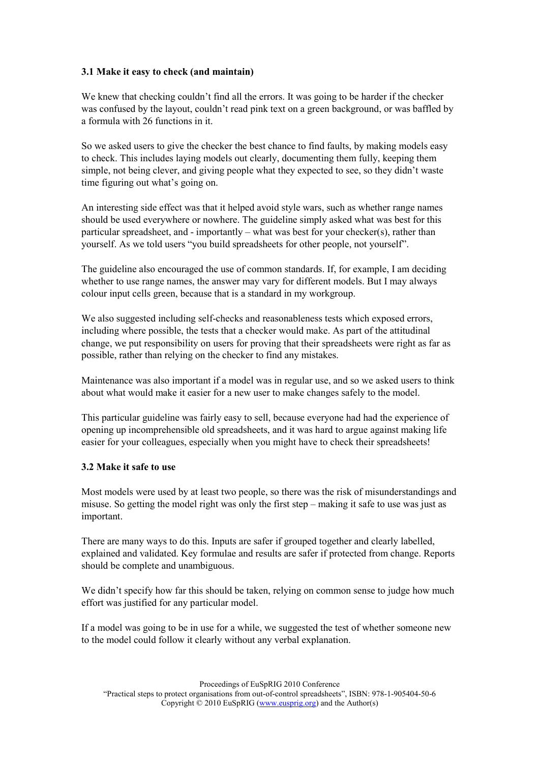## 3.1 Make it easy to check (and maintain)

We knew that checking couldn't find all the errors. It was going to be harder if the checker was confused by the layout, couldn't read pink text on a green background, or was baffled by a formula with 26 functions in it.

So we asked users to give the checker the best chance to find faults, by making models easy to check. This includes laying models out clearly, documenting them fully, keeping them simple, not being clever, and giving people what they expected to see, so they didn't waste time figuring out what's going on.

An interesting side effect was that it helped avoid style wars, such as whether range names should be used everywhere or nowhere. The guideline simply asked what was best for this particular spreadsheet, and - importantly – what was best for your checker(s), rather than yourself. As we told users "you build spreadsheets for other people, not yourself".

The guideline also encouraged the use of common standards. If, for example, I am deciding whether to use range names, the answer may vary for different models. But I may always colour input cells green, because that is a standard in my workgroup.

We also suggested including self-checks and reasonableness tests which exposed errors, including where possible, the tests that a checker would make. As part of the attitudinal change, we put responsibility on users for proving that their spreadsheets were right as far as possible, rather than relying on the checker to find any mistakes.

Maintenance was also important if a model was in regular use, and so we asked users to think about what would make it easier for a new user to make changes safely to the model.

This particular guideline was fairly easy to sell, because everyone had had the experience of opening up incomprehensible old spreadsheets, and it was hard to argue against making life easier for your colleagues, especially when you might have to check their spreadsheets!

#### 3.2 Make it safe to use

Most models were used by at least two people, so there was the risk of misunderstandings and misuse. So getting the model right was only the first step – making it safe to use was just as important.

There are many ways to do this. Inputs are safer if grouped together and clearly labelled, explained and validated. Key formulae and results are safer if protected from change. Reports should be complete and unambiguous.

We didn't specify how far this should be taken, relying on common sense to judge how much effort was justified for any particular model.

If a model was going to be in use for a while, we suggested the test of whether someone new to the model could follow it clearly without any verbal explanation.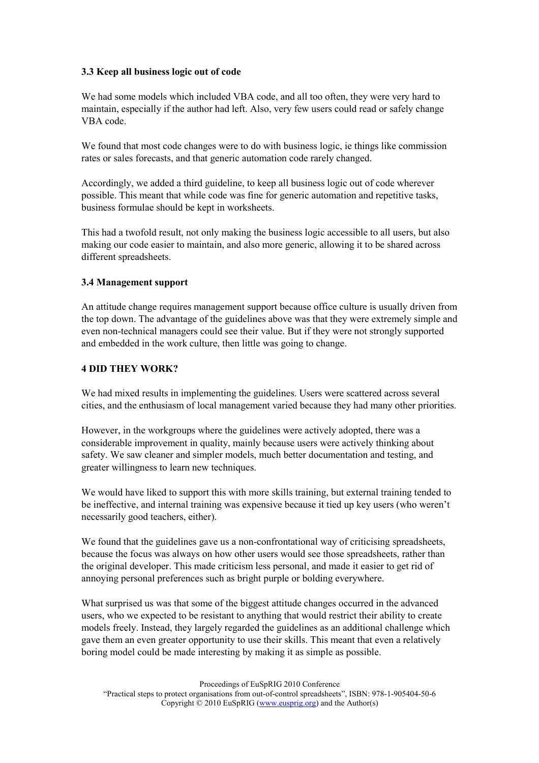#### 3.3 Keep all business logic out of code

We had some models which included VBA code, and all too often, they were very hard to maintain, especially if the author had left. Also, very few users could read or safely change VBA code.

We found that most code changes were to do with business logic, ie things like commission rates or sales forecasts, and that generic automation code rarely changed.

Accordingly, we added a third guideline, to keep all business logic out of code wherever possible. This meant that while code was fine for generic automation and repetitive tasks, business formulae should be kept in worksheets.

This had a twofold result, not only making the business logic accessible to all users, but also making our code easier to maintain, and also more generic, allowing it to be shared across different spreadsheets.

#### 3.4 Management support

An attitude change requires management support because office culture is usually driven from the top down. The advantage of the guidelines above was that they were extremely simple and even non-technical managers could see their value. But if they were not strongly supported and embedded in the work culture, then little was going to change.

#### 4 DID THEY WORK?

We had mixed results in implementing the guidelines. Users were scattered across several cities, and the enthusiasm of local management varied because they had many other priorities.

However, in the workgroups where the guidelines were actively adopted, there was a considerable improvement in quality, mainly because users were actively thinking about safety. We saw cleaner and simpler models, much better documentation and testing, and greater willingness to learn new techniques.

We would have liked to support this with more skills training, but external training tended to be ineffective, and internal training was expensive because it tied up key users (who weren't necessarily good teachers, either).

We found that the guidelines gave us a non-confrontational way of criticising spreadsheets, because the focus was always on how other users would see those spreadsheets, rather than the original developer. This made criticism less personal, and made it easier to get rid of annoying personal preferences such as bright purple or bolding everywhere.

What surprised us was that some of the biggest attitude changes occurred in the advanced users, who we expected to be resistant to anything that would restrict their ability to create models freely. Instead, they largely regarded the guidelines as an additional challenge which gave them an even greater opportunity to use their skills. This meant that even a relatively boring model could be made interesting by making it as simple as possible.

Proceedings of EuSpRIG 2010 Conference